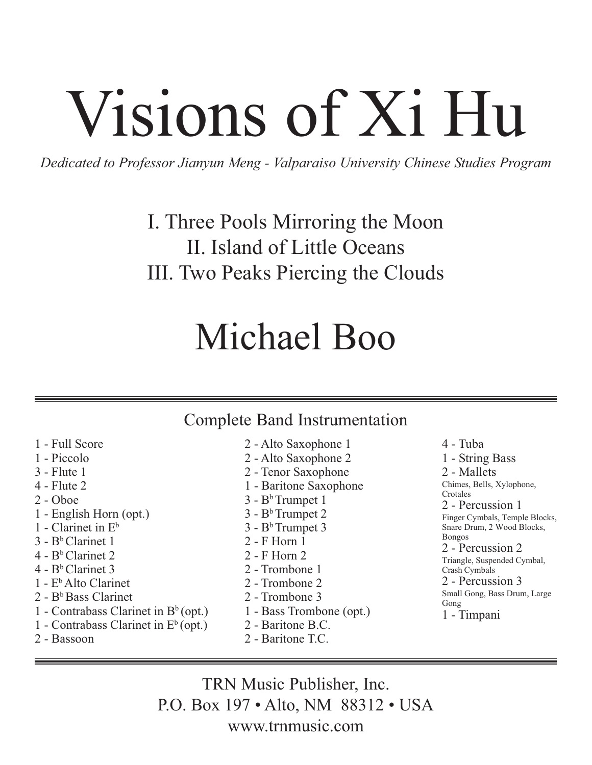# Visions of Xi Hu

*Dedicated to Professor Jianyun Meng - Valparaiso University Chinese Studies Program*

I. Three Pools Mirroring the Moon II. Island of Little Oceans III. Two Peaks Piercing the Clouds

## Michael Boo

### Complete Band Instrumentation

- 1 Full Score 1 - Piccolo 3 - Flute 1 4 - Flute 2 2 - Oboe 1 - English Horn (opt.) 1 - Clarinet in  $E^b$  $3 - B<sup>b</sup>$  Clarinet 1  $4 - B<sup>b</sup>$  Clarinet 2 4 - BbClarinet 3
- $1 E<sup>b</sup>$  Alto Clarinet
- $2 B<sup>b</sup>$  Bass Clarinet
- 1 Contrabass Clarinet in  $B<sup>b</sup>$  (opt.)
- 1 Contrabass Clarinet in  $E<sup>b</sup>$  (opt.)
- 2 Bassoon
- 2 Alto Saxophone 1 2 - Alto Saxophone 2 2 - Tenor Saxophone 1 - Baritone Saxophone  $3 - B<sup>b</sup>$  Trumpet 1  $3 - B<sup>b</sup>$  Trumpet 2  $3 - B<sup>b</sup>$  Trumpet 3 2 - F Horn 1 2 - F Horn 2 2 - Trombone 1 2 - Trombone 2 2 - Trombone 3 1 - Bass Trombone (opt.) 2 - Baritone B.C.
- 2 Baritone T.C.

4 - Tuba 1 - String Bass 2 - Mallets Chimes, Bells, Xylophone, Crotales 2 - Percussion 1 Finger Cymbals, Temple Blocks, Snare Drum, 2 Wood Blocks, Bongos 2 - Percussion 2 Triangle, Suspended Cymbal, Crash Cymbals 2 - Percussion 3 Small Gong, Bass Drum, Large Gong 1 - Timpani

TRN Music Publisher, Inc. P.O. Box 197 • Alto, NM 88312 • USA www.trnmusic.com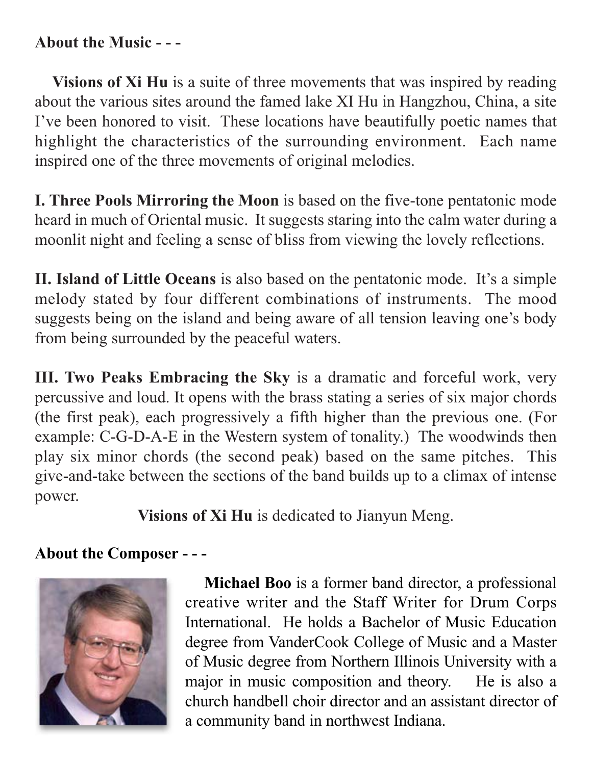#### **About the Music - - -**

**Visions of Xi Hu** is a suite of three movements that was inspired by reading about the various sites around the famed lake XI Hu in Hangzhou, China, a site I've been honored to visit. These locations have beautifully poetic names that highlight the characteristics of the surrounding environment. Each name inspired one of the three movements of original melodies.

**I. Three Pools Mirroring the Moon** is based on the five-tone pentatonic mode heard in much of Oriental music. It suggests staring into the calm water during a moonlit night and feeling a sense of bliss from viewing the lovely reflections.

**II. Island of Little Oceans** is also based on the pentatonic mode. It's a simple melody stated by four different combinations of instruments. The mood suggests being on the island and being aware of all tension leaving one's body from being surrounded by the peaceful waters.

**III. Two Peaks Embracing the Sky** is a dramatic and forceful work, very percussive and loud. It opens with the brass stating a series of six major chords (the first peak), each progressively a fifth higher than the previous one. (For example: C-G-D-A-E in the Western system of tonality.) The woodwinds then play six minor chords (the second peak) based on the same pitches. This give-and-take between the sections of the band builds up to a climax of intense power.

**Visions of Xi Hu** is dedicated to Jianyun Meng.

### **About the Composer - - -**



**Michael Boo** is a former band director, a professional creative writer and the Staff Writer for Drum Corps International. He holds a Bachelor of Music Education degree from VanderCook College of Music and a Master of Music degree from Northern Illinois University with a major in music composition and theory. He is also a church handbell choir director and an assistant director of a community band in northwest Indiana.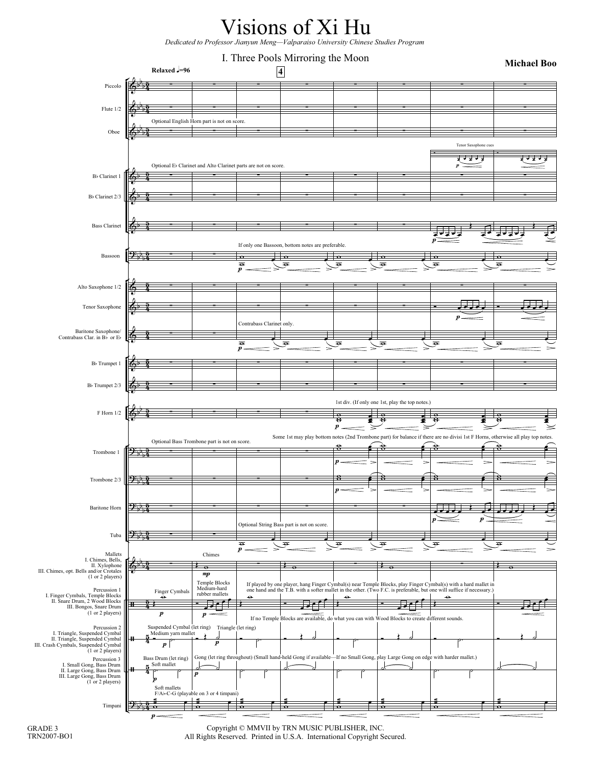

*Dedicated to Professor Jianyun Meng—Valparaiso University Chinese Studies Program* 



GRADE 3 TRN2007-BO1

Copyright © MMVII by TRN MUSIC PUBLISHER, INC. All Rights Reserved. Printed in U.S.A. International Copyright Secured.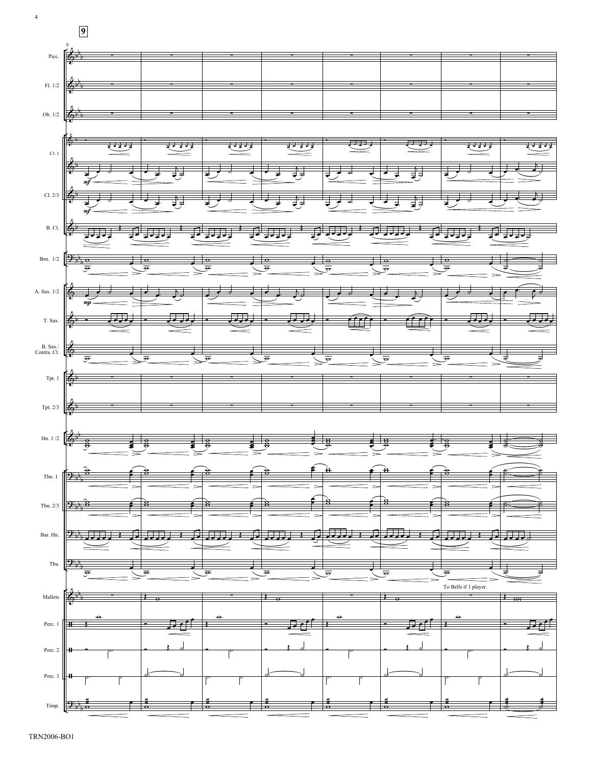

4